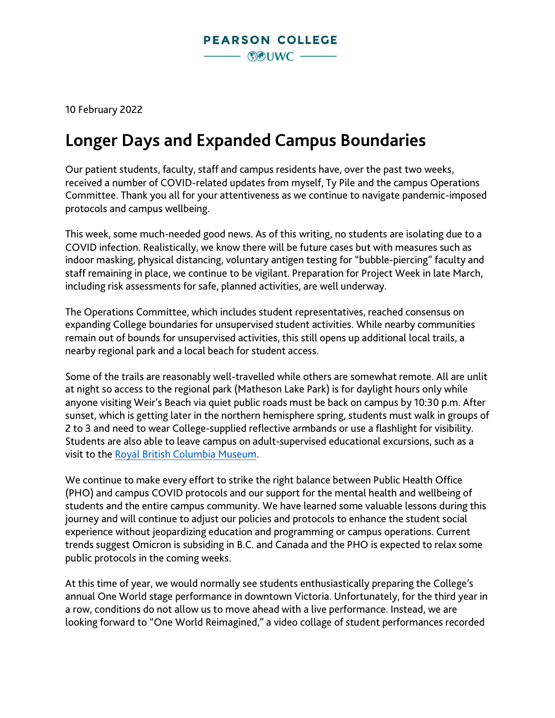

10 February 2022

## **Longer Days and Expanded Campus Boundaries**

Our patient students, faculty, staff and campus residents have, over the past two weeks, received a number of COVID-related updates from myself, Ty Pile and the campus Operations Committee. Thank you all for your attentiveness as we continue to navigate pandemic-imposed protocols and campus wellbeing.

This week, some much-needed good news. As of this writing, no students are isolating due to a COVID infection. Realistically, we know there will be future cases but with measures such as indoor masking, physical distancing, voluntary antigen testing for "bubble-piercing" faculty and staff remaining in place, we continue to be vigilant. Preparation for Project Week in late March, including risk assessments for safe, planned activities, are well underway.

The Operations Committee, which includes student representatives, reached consensus on expanding College boundaries for unsupervised student activities. While nearby communities remain out of bounds for unsupervised activities, this still opens up additional local trails, a nearby regional park and a local beach for student access.

Some of the trails are reasonably well-travelled while others are somewhat remote. All are unlit at night so access to the regional park (Matheson Lake Park) is for daylight hours only while anyone visiting Weir's Beach via quiet public roads must be back on campus by 10:30 p.m. After sunset, which is getting later in the northern hemisphere spring, students must walk in groups of 2 to 3 and need to wear College-supplied reflective armbands or use a flashlight for visibility. Students are also able to leave campus on adult-supervised educational excursions, such as a visit to the [Royal British Columbia Museum.](https://royalbcmuseum.bc.ca/)

We continue to make every effort to strike the right balance between Public Health Office (PHO) and campus COVID protocols and our support for the mental health and wellbeing of students and the entire campus community. We have learned some valuable lessons during this journey and will continue to adjust our policies and protocols to enhance the student social experience without jeopardizing education and programming or campus operations. Current trends suggest Omicron is subsiding in B.C. and Canada and the PHO is expected to relax some public protocols in the coming weeks.

At this time of year, we would normally see students enthusiastically preparing the College's annual One World stage performance in downtown Victoria. Unfortunately, for the third year in a row, conditions do not allow us to move ahead with a live performance. Instead, we are looking forward to "One World Reimagined," a video collage of student performances recorded